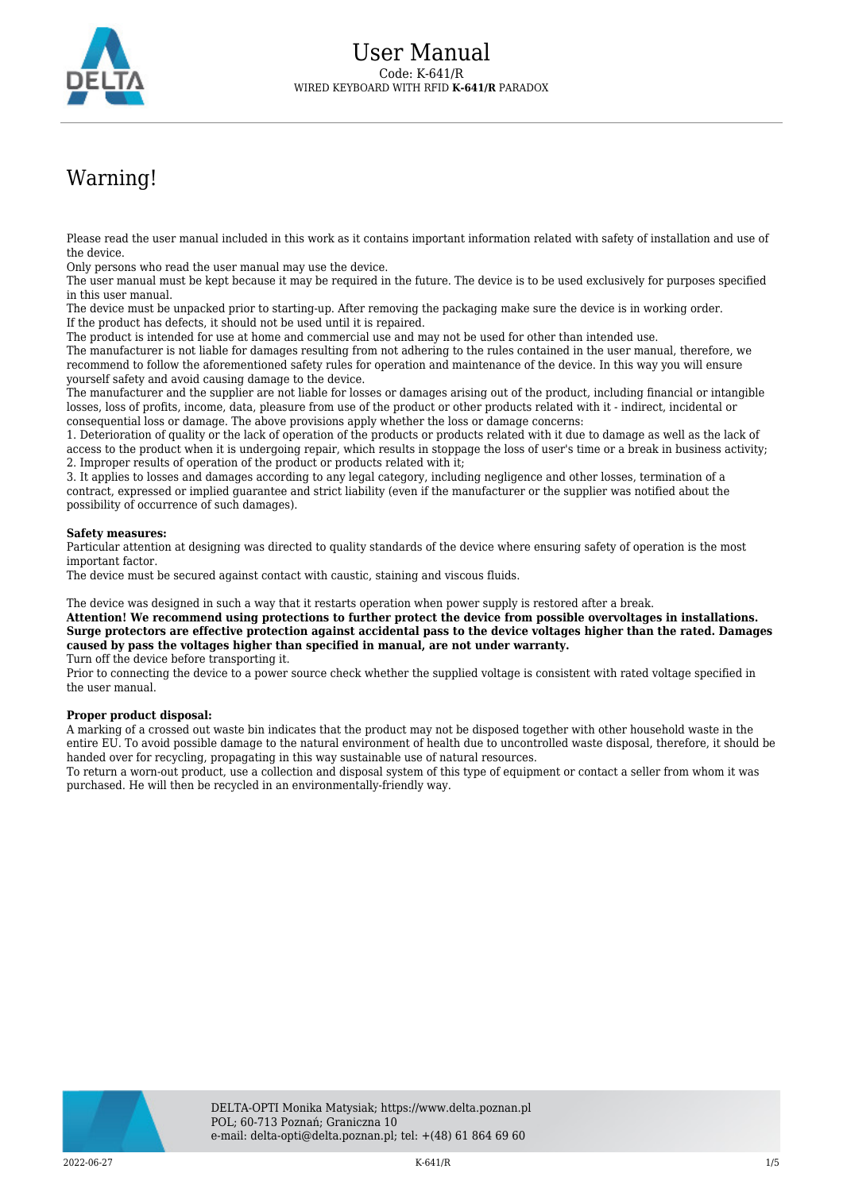

## Warning!

Please read the user manual included in this work as it contains important information related with safety of installation and use of the device.

Only persons who read the user manual may use the device.

The user manual must be kept because it may be required in the future. The device is to be used exclusively for purposes specified in this user manual.

The device must be unpacked prior to starting-up. After removing the packaging make sure the device is in working order. If the product has defects, it should not be used until it is repaired.

The product is intended for use at home and commercial use and may not be used for other than intended use.

The manufacturer is not liable for damages resulting from not adhering to the rules contained in the user manual, therefore, we recommend to follow the aforementioned safety rules for operation and maintenance of the device. In this way you will ensure yourself safety and avoid causing damage to the device.

The manufacturer and the supplier are not liable for losses or damages arising out of the product, including financial or intangible losses, loss of profits, income, data, pleasure from use of the product or other products related with it - indirect, incidental or consequential loss or damage. The above provisions apply whether the loss or damage concerns:

1. Deterioration of quality or the lack of operation of the products or products related with it due to damage as well as the lack of access to the product when it is undergoing repair, which results in stoppage the loss of user's time or a break in business activity; 2. Improper results of operation of the product or products related with it;

3. It applies to losses and damages according to any legal category, including negligence and other losses, termination of a contract, expressed or implied guarantee and strict liability (even if the manufacturer or the supplier was notified about the possibility of occurrence of such damages).

## **Safety measures:**

Particular attention at designing was directed to quality standards of the device where ensuring safety of operation is the most important factor.

The device must be secured against contact with caustic, staining and viscous fluids.

The device was designed in such a way that it restarts operation when power supply is restored after a break.

**Attention! We recommend using protections to further protect the device from possible overvoltages in installations. Surge protectors are effective protection against accidental pass to the device voltages higher than the rated. Damages caused by pass the voltages higher than specified in manual, are not under warranty.**

Turn off the device before transporting it.

Prior to connecting the device to a power source check whether the supplied voltage is consistent with rated voltage specified in the user manual.

## **Proper product disposal:**

A marking of a crossed out waste bin indicates that the product may not be disposed together with other household waste in the entire EU. To avoid possible damage to the natural environment of health due to uncontrolled waste disposal, therefore, it should be handed over for recycling, propagating in this way sustainable use of natural resources.

To return a worn-out product, use a collection and disposal system of this type of equipment or contact a seller from whom it was purchased. He will then be recycled in an environmentally-friendly way.

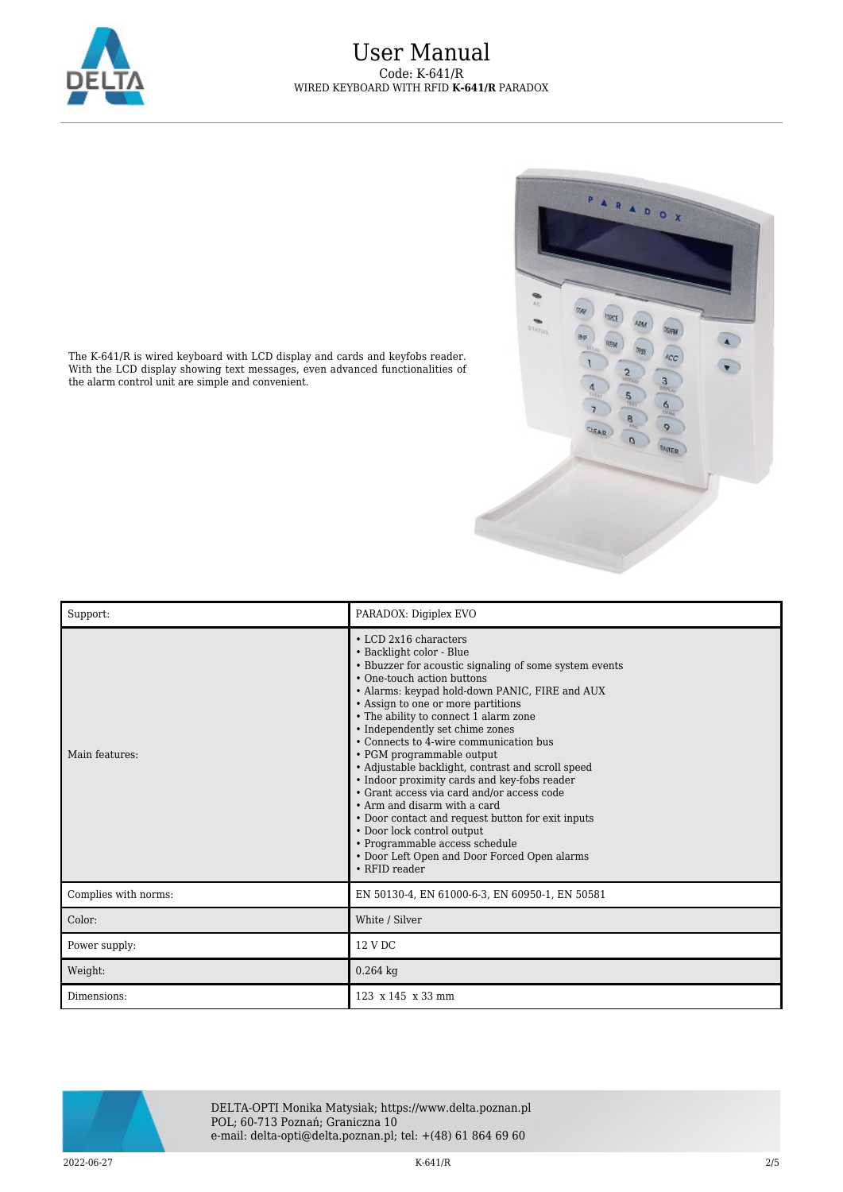



The K-641/R is wired keyboard with LCD display and cards and keyfobs reader. With the LCD display showing text messages, even advanced functionalities of the alarm control unit are simple and convenient.

| Support:             | PARADOX: Digiplex EVO                                                                                                                                                                                                                                                                                                                                                                                                                                                                                                                                                                                                                                                                                                                                               |
|----------------------|---------------------------------------------------------------------------------------------------------------------------------------------------------------------------------------------------------------------------------------------------------------------------------------------------------------------------------------------------------------------------------------------------------------------------------------------------------------------------------------------------------------------------------------------------------------------------------------------------------------------------------------------------------------------------------------------------------------------------------------------------------------------|
| Main features:       | $\cdot$ LCD 2x16 characters<br>• Backlight color - Blue<br>• Bbuzzer for acoustic signaling of some system events<br>• One-touch action buttons<br>• Alarms: keypad hold-down PANIC, FIRE and AUX<br>• Assign to one or more partitions<br>• The ability to connect 1 alarm zone<br>• Independently set chime zones<br>• Connects to 4-wire communication bus<br>• PGM programmable output<br>• Adjustable backlight, contrast and scroll speed<br>• Indoor proximity cards and key-fobs reader<br>• Grant access via card and/or access code<br>• Arm and disarm with a card<br>• Door contact and request button for exit inputs<br>• Door lock control output<br>• Programmable access schedule<br>• Door Left Open and Door Forced Open alarms<br>• RFID reader |
| Complies with norms: | EN 50130-4, EN 61000-6-3, EN 60950-1, EN 50581                                                                                                                                                                                                                                                                                                                                                                                                                                                                                                                                                                                                                                                                                                                      |
| Color:               | White / Silver                                                                                                                                                                                                                                                                                                                                                                                                                                                                                                                                                                                                                                                                                                                                                      |
| Power supply:        | 12 V DC                                                                                                                                                                                                                                                                                                                                                                                                                                                                                                                                                                                                                                                                                                                                                             |
| Weight:              | $0.264$ kg                                                                                                                                                                                                                                                                                                                                                                                                                                                                                                                                                                                                                                                                                                                                                          |
| Dimensions:          | $123 \times 145 \times 33$ mm                                                                                                                                                                                                                                                                                                                                                                                                                                                                                                                                                                                                                                                                                                                                       |



DELTA-OPTI Monika Matysiak; https://www.delta.poznan.pl POL; 60-713 Poznań; Graniczna 10 e-mail: delta-opti@delta.poznan.pl; tel: +(48) 61 864 69 60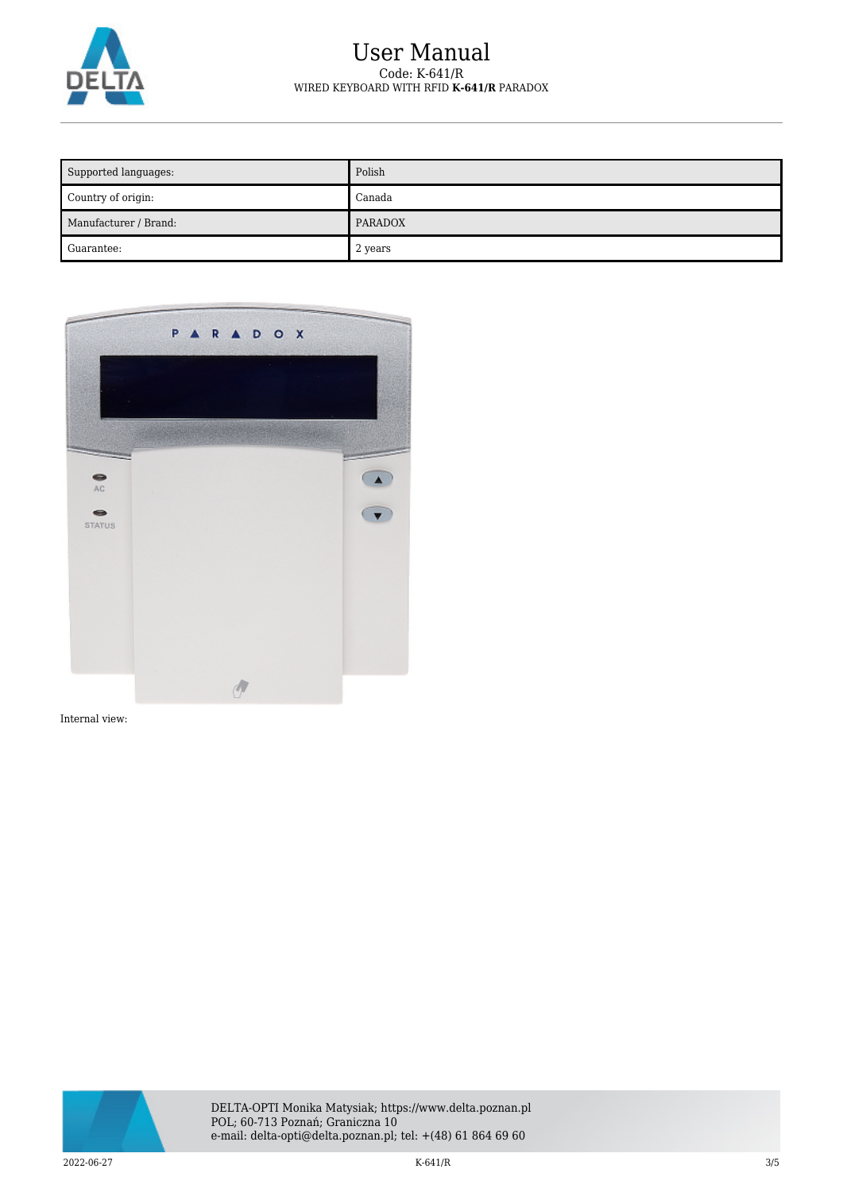

## User Manual Code: K-641/R WIRED KEYBOARD WITH RFID **K-641/R** PARADOX

| Supported languages:  | Polish  |
|-----------------------|---------|
| Country of origin:    | Canada  |
| Manufacturer / Brand: | PARADOX |
| Guarantee:            | 2 years |



Internal view:

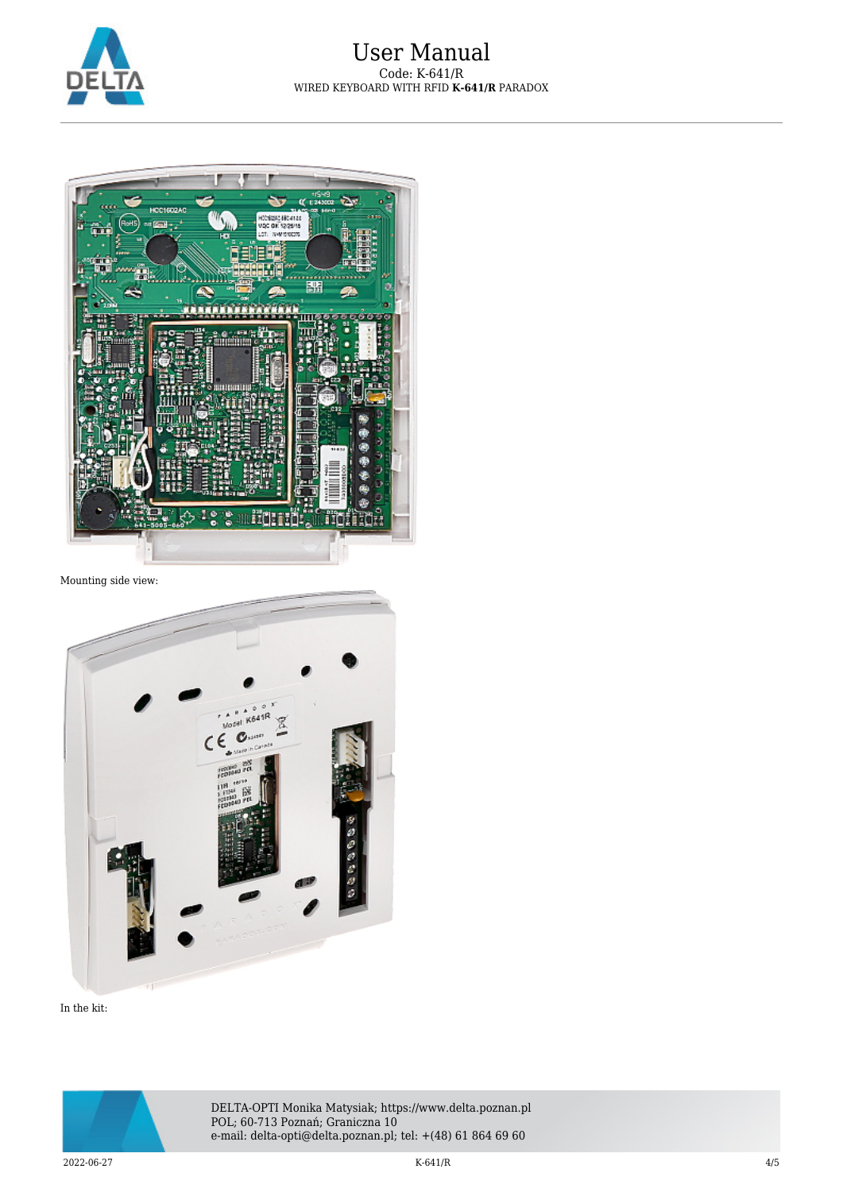



Mounting side view:



In the kit: